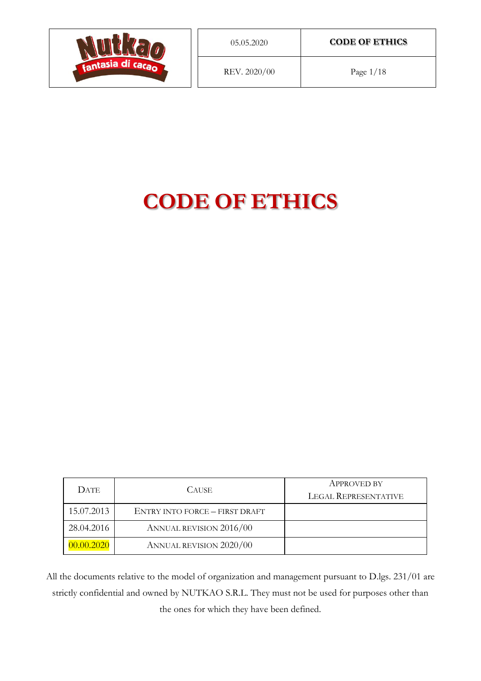

# **CODE OF ETHICS**

| <b>DATE</b> | <b>CAUSE</b>                          | <b>APPROVED BY</b><br><b>LEGAL REPRESENTATIVE</b> |
|-------------|---------------------------------------|---------------------------------------------------|
| 15.07.2013  | <b>ENTRY INTO FORCE - FIRST DRAFT</b> |                                                   |
| 28.04.2016  | ANNUAL REVISION 2016/00               |                                                   |
| 00.00.2020  | ANNUAL REVISION 2020/00               |                                                   |

All the documents relative to the model of organization and management pursuant to D.lgs. 231/01 are strictly confidential and owned by NUTKAO S.R.L. They must not be used for purposes other than the ones for which they have been defined.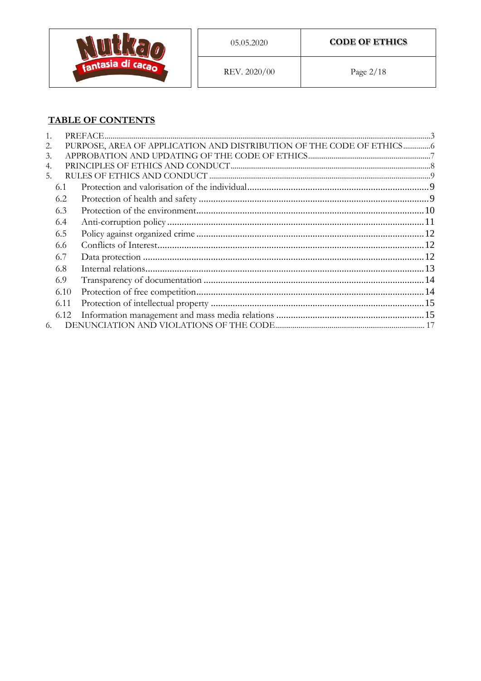

#### **TABLE OF CONTENTS**

| 2.<br>3.<br>4. |  |
|----------------|--|
|                |  |
|                |  |
|                |  |
| 5.             |  |
| 6.1            |  |
| 6.2            |  |
| 6.3            |  |
| 6.4            |  |
| 6.5            |  |
| 6.6            |  |
| 6.7            |  |
| 6.8            |  |
| 6.9            |  |
| 6.10           |  |
| 6.11           |  |
| 6.12           |  |
| 6.             |  |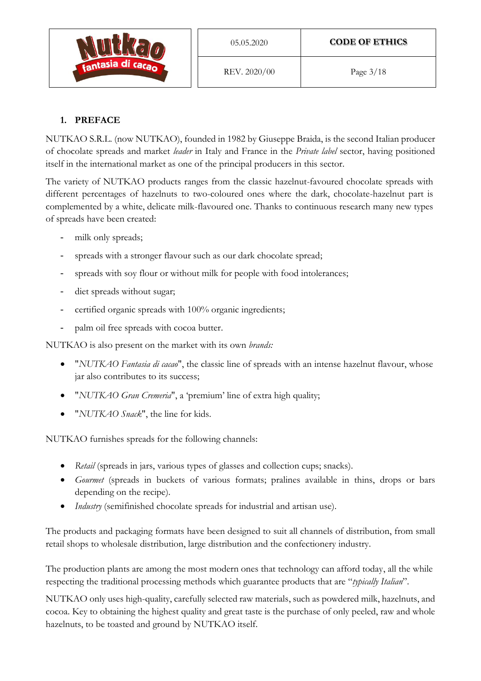

#### <span id="page-2-0"></span>**1. PREFACE**

NUTKAO S.R.L. (now NUTKAO), founded in 1982 by Giuseppe Braida, is the second Italian producer of chocolate spreads and market *leader* in Italy and France in the *Private label* sector, having positioned itself in the international market as one of the principal producers in this sector.

The variety of NUTKAO products ranges from the classic hazelnut-favoured chocolate spreads with different percentages of hazelnuts to two-coloured ones where the dark, chocolate-hazelnut part is complemented by a white, delicate milk-flavoured one. Thanks to continuous research many new types of spreads have been created:

- milk only spreads;
- spreads with a stronger flavour such as our dark chocolate spread;
- spreads with soy flour or without milk for people with food intolerances;
- diet spreads without sugar;
- certified organic spreads with 100% organic ingredients;
- palm oil free spreads with cocoa butter.

NUTKAO is also present on the market with its own *brands:*

- "*NUTKAO Fantasia di cacao*", the classic line of spreads with an intense hazelnut flavour, whose jar also contributes to its success;
- "*NUTKAO Gran Cremeria*", a 'premium' line of extra high quality;
- "*NUTKAO Snack*", the line for kids.

NUTKAO furnishes spreads for the following channels:

- *Retail* (spreads in jars, various types of glasses and collection cups; snacks).
- *Gourmet* (spreads in buckets of various formats; pralines available in thins, drops or bars depending on the recipe).
- *Industry* (semifinished chocolate spreads for industrial and artisan use).

The products and packaging formats have been designed to suit all channels of distribution, from small retail shops to wholesale distribution, large distribution and the confectionery industry.

The production plants are among the most modern ones that technology can afford today, all the while respecting the traditional processing methods which guarantee products that are "*typically Italian*".

NUTKAO only uses high-quality, carefully selected raw materials, such as powdered milk, hazelnuts, and cocoa. Key to obtaining the highest quality and great taste is the purchase of only peeled, raw and whole hazelnuts, to be toasted and ground by NUTKAO itself.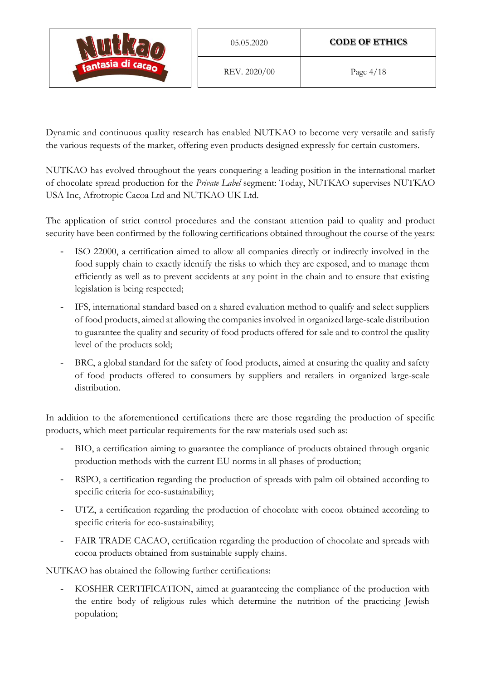

Dynamic and continuous quality research has enabled NUTKAO to become very versatile and satisfy the various requests of the market, offering even products designed expressly for certain customers.

NUTKAO has evolved throughout the years conquering a leading position in the international market of chocolate spread production for the *Private Label* segment: Today, NUTKAO supervises NUTKAO USA Inc, Afrotropic Cacoa Ltd and NUTKAO UK Ltd.

The application of strict control procedures and the constant attention paid to quality and product security have been confirmed by the following certifications obtained throughout the course of the years:

- ISO 22000, a certification aimed to allow all companies directly or indirectly involved in the food supply chain to exactly identify the risks to which they are exposed, and to manage them efficiently as well as to prevent accidents at any point in the chain and to ensure that existing legislation is being respected;
- IFS, international standard based on a shared evaluation method to qualify and select suppliers of food products, aimed at allowing the companies involved in organized large-scale distribution to guarantee the quality and security of food products offered for sale and to control the quality level of the products sold;
- BRC, a global standard for the safety of food products, aimed at ensuring the quality and safety of food products offered to consumers by suppliers and retailers in organized large-scale distribution.

In addition to the aforementioned certifications there are those regarding the production of specific products, which meet particular requirements for the raw materials used such as:

- BIO, a certification aiming to guarantee the compliance of products obtained through organic production methods with the current EU norms in all phases of production;
- RSPO, a certification regarding the production of spreads with palm oil obtained according to specific criteria for eco-sustainability;
- UTZ, a certification regarding the production of chocolate with cocoa obtained according to specific criteria for eco-sustainability;
- FAIR TRADE CACAO, certification regarding the production of chocolate and spreads with cocoa products obtained from sustainable supply chains.

NUTKAO has obtained the following further certifications:

- KOSHER CERTIFICATION, aimed at guaranteeing the compliance of the production with the entire body of religious rules which determine the nutrition of the practicing Jewish population;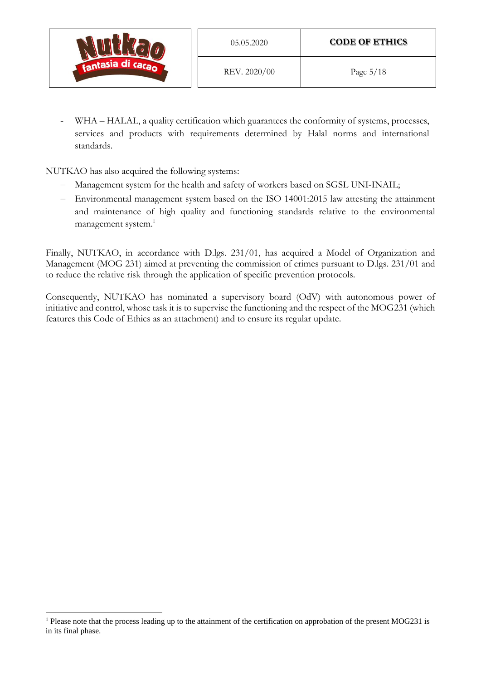

- WHA – HALAL, a quality certification which guarantees the conformity of systems, processes, services and products with requirements determined by Halal norms and international standards.

NUTKAO has also acquired the following systems:

- − Management system for the health and safety of workers based on SGSL UNI-INAIL;
- − Environmental management system based on the ISO 14001:2015 law attesting the attainment and maintenance of high quality and functioning standards relative to the environmental management system. 1

Finally, NUTKAO, in accordance with D.lgs. 231/01, has acquired a Model of Organization and Management (MOG 231) aimed at preventing the commission of crimes pursuant to D.lgs. 231/01 and to reduce the relative risk through the application of specific prevention protocols.

Consequently, NUTKAO has nominated a supervisory board (OdV) with autonomous power of initiative and control, whose task it is to supervise the functioning and the respect of the MOG231 (which features this Code of Ethics as an attachment) and to ensure its regular update.

<sup>&</sup>lt;sup>1</sup> Please note that the process leading up to the attainment of the certification on approbation of the present MOG231 is in its final phase.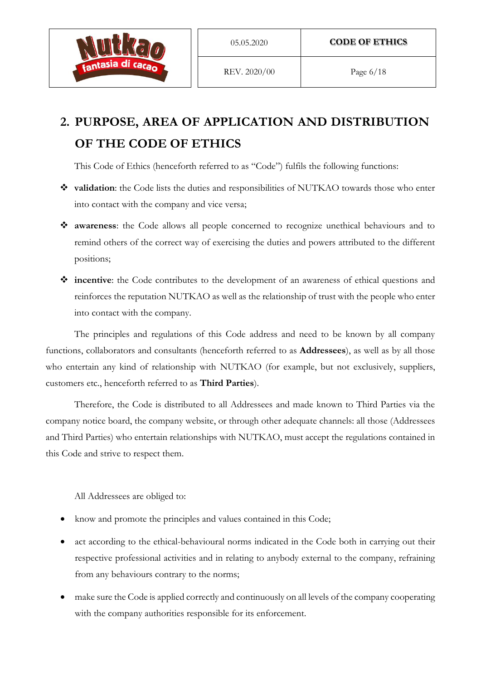

# <span id="page-5-0"></span>**2. PURPOSE, AREA OF APPLICATION AND DISTRIBUTION OF THE CODE OF ETHICS**

This Code of Ethics (henceforth referred to as "Code") fulfils the following functions:

- ❖ **validation**: the Code lists the duties and responsibilities of NUTKAO towards those who enter into contact with the company and vice versa;
- ❖ **awareness**: the Code allows all people concerned to recognize unethical behaviours and to remind others of the correct way of exercising the duties and powers attributed to the different positions;
- ❖ **incentive**: the Code contributes to the development of an awareness of ethical questions and reinforces the reputation NUTKAO as well as the relationship of trust with the people who enter into contact with the company.

The principles and regulations of this Code address and need to be known by all company functions, collaborators and consultants (henceforth referred to as **Addressees**), as well as by all those who entertain any kind of relationship with NUTKAO (for example, but not exclusively, suppliers, customers etc., henceforth referred to as **Third Parties**).

Therefore, the Code is distributed to all Addressees and made known to Third Parties via the company notice board, the company website, or through other adequate channels: all those (Addressees and Third Parties) who entertain relationships with NUTKAO, must accept the regulations contained in this Code and strive to respect them.

All Addressees are obliged to:

- know and promote the principles and values contained in this Code;
- act according to the ethical-behavioural norms indicated in the Code both in carrying out their respective professional activities and in relating to anybody external to the company, refraining from any behaviours contrary to the norms;
- make sure the Code is applied correctly and continuously on all levels of the company cooperating with the company authorities responsible for its enforcement.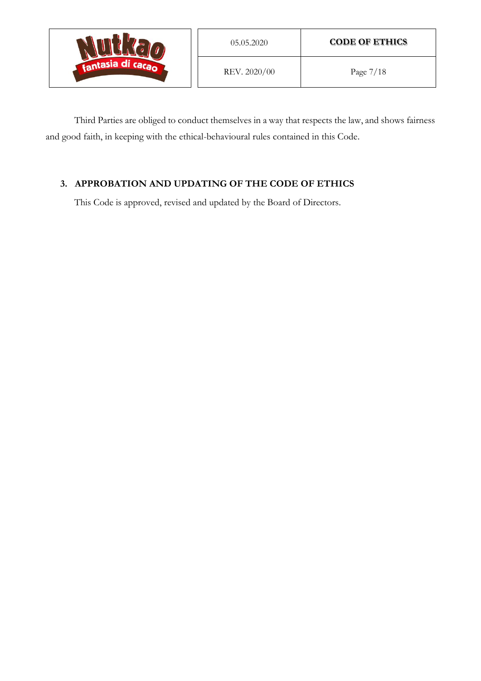

Third Parties are obliged to conduct themselves in a way that respects the law, and shows fairness and good faith, in keeping with the ethical-behavioural rules contained in this Code.

### <span id="page-6-0"></span>**3. APPROBATION AND UPDATING OF THE CODE OF ETHICS**

This Code is approved, revised and updated by the Board of Directors.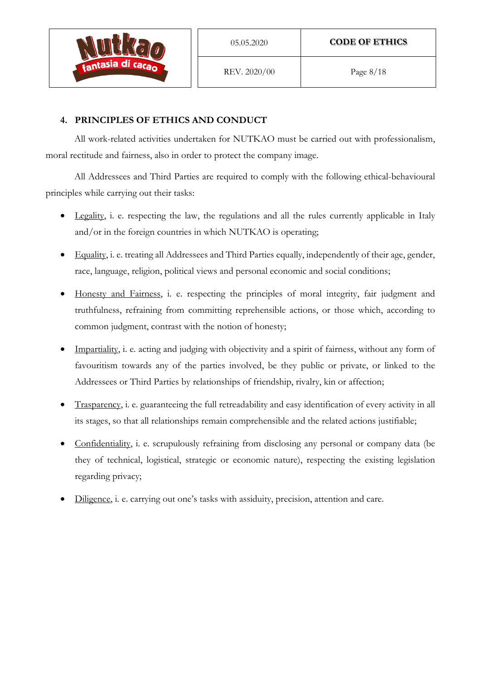

#### <span id="page-7-0"></span>**4. PRINCIPLES OF ETHICS AND CONDUCT**

All work-related activities undertaken for NUTKAO must be carried out with professionalism, moral rectitude and fairness, also in order to protect the company image.

All Addressees and Third Parties are required to comply with the following ethical-behavioural principles while carrying out their tasks:

- Legality, i. e. respecting the law, the regulations and all the rules currently applicable in Italy and/or in the foreign countries in which NUTKAO is operating;
- Equality, i. e. treating all Addressees and Third Parties equally, independently of their age, gender, race, language, religion, political views and personal economic and social conditions;
- Honesty and Fairness, i. e. respecting the principles of moral integrity, fair judgment and truthfulness, refraining from committing reprehensible actions, or those which, according to common judgment, contrast with the notion of honesty;
- Impartiality, i. e. acting and judging with objectivity and a spirit of fairness, without any form of favouritism towards any of the parties involved, be they public or private, or linked to the Addressees or Third Parties by relationships of friendship, rivalry, kin or affection;
- Trasparency, i. e. guaranteeing the full retreadability and easy identification of every activity in all its stages, so that all relationships remain comprehensible and the related actions justifiable;
- Confidentiality, i. e. scrupulously refraining from disclosing any personal or company data (be they of technical, logistical, strategic or economic nature), respecting the existing legislation regarding privacy;
- Diligence, i. e. carrying out one's tasks with assiduity, precision, attention and care.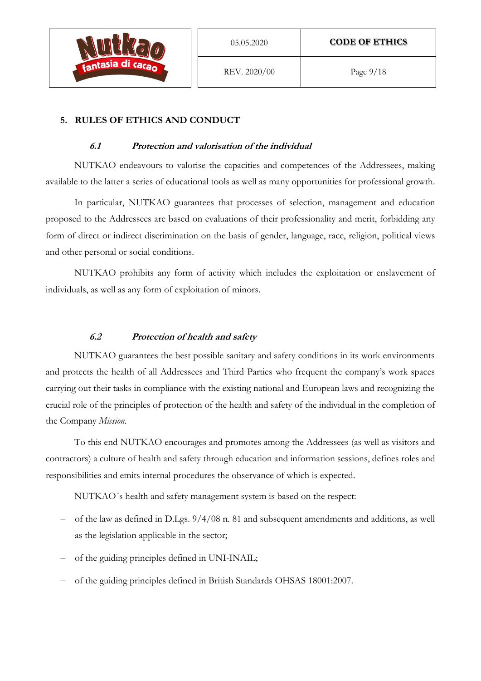

#### <span id="page-8-0"></span>**5. RULES OF ETHICS AND CONDUCT**

#### <span id="page-8-1"></span>**6.1 Protection and valorisation of the individual**

NUTKAO endeavours to valorise the capacities and competences of the Addressees, making available to the latter a series of educational tools as well as many opportunities for professional growth.

In particular, NUTKAO guarantees that processes of selection, management and education proposed to the Addressees are based on evaluations of their professionality and merit, forbidding any form of direct or indirect discrimination on the basis of gender, language, race, religion, political views and other personal or social conditions.

NUTKAO prohibits any form of activity which includes the exploitation or enslavement of individuals, as well as any form of exploitation of minors.

#### <span id="page-8-2"></span>**6.2 Protection of health and safety**

NUTKAO guarantees the best possible sanitary and safety conditions in its work environments and protects the health of all Addressees and Third Parties who frequent the company's work spaces carrying out their tasks in compliance with the existing national and European laws and recognizing the crucial role of the principles of protection of the health and safety of the individual in the completion of the Company *Mission*.

To this end NUTKAO encourages and promotes among the Addressees (as well as visitors and contractors) a culture of health and safety through education and information sessions, defines roles and responsibilities and emits internal procedures the observance of which is expected.

NUTKAO´s health and safety management system is based on the respect:

- − of the law as defined in D.Lgs. 9/4/08 n. 81 and subsequent amendments and additions, as well as the legislation applicable in the sector;
- of the guiding principles defined in UNI-INAIL;
- − of the guiding principles defined in British Standards OHSAS 18001:2007.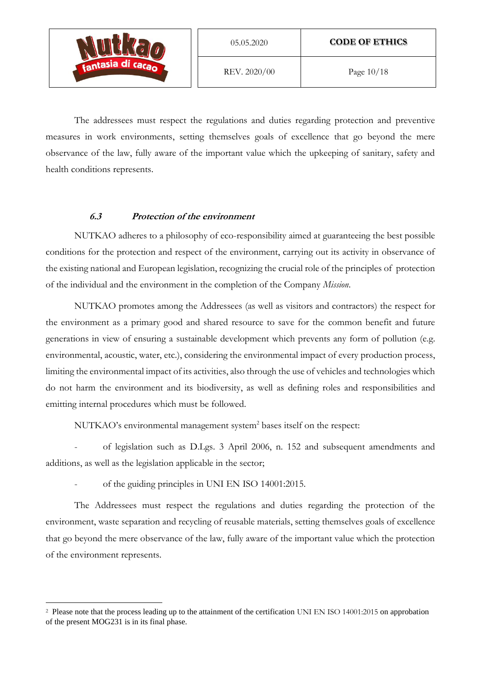

The addressees must respect the regulations and duties regarding protection and preventive measures in work environments, setting themselves goals of excellence that go beyond the mere observance of the law, fully aware of the important value which the upkeeping of sanitary, safety and health conditions represents.

#### <span id="page-9-0"></span>**6.3 Protection of the environment**

NUTKAO adheres to a philosophy of eco-responsibility aimed at guaranteeing the best possible conditions for the protection and respect of the environment, carrying out its activity in observance of the existing national and European legislation, recognizing the crucial role of the principles of protection of the individual and the environment in the completion of the Company *Mission*.

NUTKAO promotes among the Addressees (as well as visitors and contractors) the respect for the environment as a primary good and shared resource to save for the common benefit and future generations in view of ensuring a sustainable development which prevents any form of pollution (e.g. environmental, acoustic, water, etc.), considering the environmental impact of every production process, limiting the environmental impact of its activities, also through the use of vehicles and technologies which do not harm the environment and its biodiversity, as well as defining roles and responsibilities and emitting internal procedures which must be followed.

NUTKAO's environmental management system<sup>2</sup> bases itself on the respect:

- of legislation such as D.Lgs. 3 April 2006, n. 152 and subsequent amendments and additions, as well as the legislation applicable in the sector;

of the guiding principles in UNI EN ISO 14001:2015.

The Addressees must respect the regulations and duties regarding the protection of the environment, waste separation and recycling of reusable materials, setting themselves goals of excellence that go beyond the mere observance of the law, fully aware of the important value which the protection of the environment represents.

<sup>&</sup>lt;sup>2</sup> Please note that the process leading up to the attainment of the certification UNI EN ISO 14001:2015 on approbation of the present MOG231 is in its final phase.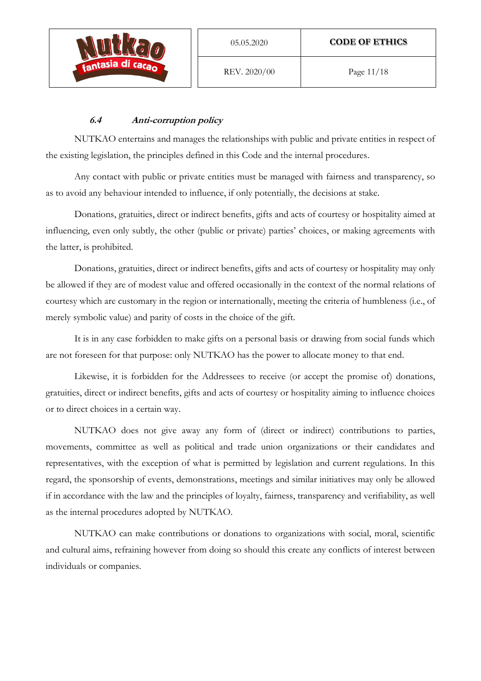

#### <span id="page-10-0"></span>**6.4 Anti-corruption policy**

NUTKAO entertains and manages the relationships with public and private entities in respect of the existing legislation, the principles defined in this Code and the internal procedures.

Any contact with public or private entities must be managed with fairness and transparency, so as to avoid any behaviour intended to influence, if only potentially, the decisions at stake.

Donations, gratuities, direct or indirect benefits, gifts and acts of courtesy or hospitality aimed at influencing, even only subtly, the other (public or private) parties' choices, or making agreements with the latter, is prohibited.

Donations, gratuities, direct or indirect benefits, gifts and acts of courtesy or hospitality may only be allowed if they are of modest value and offered occasionally in the context of the normal relations of courtesy which are customary in the region or internationally, meeting the criteria of humbleness (i.e., of merely symbolic value) and parity of costs in the choice of the gift.

It is in any case forbidden to make gifts on a personal basis or drawing from social funds which are not foreseen for that purpose: only NUTKAO has the power to allocate money to that end.

Likewise, it is forbidden for the Addressees to receive (or accept the promise of) donations, gratuities, direct or indirect benefits, gifts and acts of courtesy or hospitality aiming to influence choices or to direct choices in a certain way.

NUTKAO does not give away any form of (direct or indirect) contributions to parties, movements, committee as well as political and trade union organizations or their candidates and representatives, with the exception of what is permitted by legislation and current regulations. In this regard, the sponsorship of events, demonstrations, meetings and similar initiatives may only be allowed if in accordance with the law and the principles of loyalty, fairness, transparency and verifiability, as well as the internal procedures adopted by NUTKAO.

NUTKAO can make contributions or donations to organizations with social, moral, scientific and cultural aims, refraining however from doing so should this create any conflicts of interest between individuals or companies.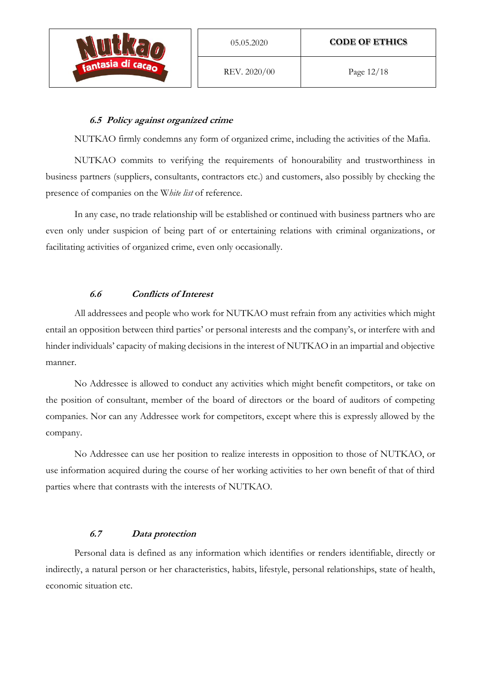

#### <span id="page-11-0"></span>**6.5 Policy against organized crime**

NUTKAO firmly condemns any form of organized crime, including the activities of the Mafia.

NUTKAO commits to verifying the requirements of honourability and trustworthiness in business partners (suppliers, consultants, contractors etc.) and customers, also possibly by checking the presence of companies on the W*hite list* of reference.

In any case, no trade relationship will be established or continued with business partners who are even only under suspicion of being part of or entertaining relations with criminal organizations, or facilitating activities of organized crime, even only occasionally.

#### <span id="page-11-1"></span>**6.6 Conflicts of Interest**

All addressees and people who work for NUTKAO must refrain from any activities which might entail an opposition between third parties' or personal interests and the company's, or interfere with and hinder individuals' capacity of making decisions in the interest of NUTKAO in an impartial and objective manner.

No Addressee is allowed to conduct any activities which might benefit competitors, or take on the position of consultant, member of the board of directors or the board of auditors of competing companies. Nor can any Addressee work for competitors, except where this is expressly allowed by the company.

No Addressee can use her position to realize interests in opposition to those of NUTKAO, or use information acquired during the course of her working activities to her own benefit of that of third parties where that contrasts with the interests of NUTKAO.

#### <span id="page-11-2"></span>**6.7 Data protection**

Personal data is defined as any information which identifies or renders identifiable, directly or indirectly, a natural person or her characteristics, habits, lifestyle, personal relationships, state of health, economic situation etc.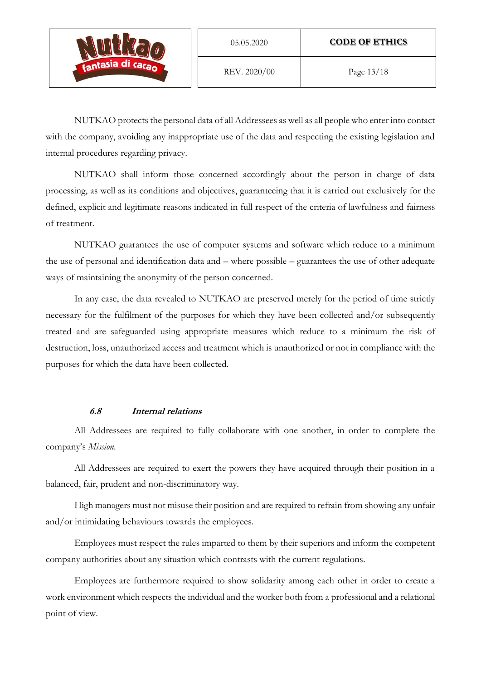

NUTKAO protects the personal data of all Addressees as well as all people who enter into contact with the company, avoiding any inappropriate use of the data and respecting the existing legislation and internal procedures regarding privacy.

NUTKAO shall inform those concerned accordingly about the person in charge of data processing, as well as its conditions and objectives, guaranteeing that it is carried out exclusively for the defined, explicit and legitimate reasons indicated in full respect of the criteria of lawfulness and fairness of treatment.

NUTKAO guarantees the use of computer systems and software which reduce to a minimum the use of personal and identification data and – where possible – guarantees the use of other adequate ways of maintaining the anonymity of the person concerned.

In any case, the data revealed to NUTKAO are preserved merely for the period of time strictly necessary for the fulfilment of the purposes for which they have been collected and/or subsequently treated and are safeguarded using appropriate measures which reduce to a minimum the risk of destruction, loss, unauthorized access and treatment which is unauthorized or not in compliance with the purposes for which the data have been collected.

#### <span id="page-12-0"></span>**6.8 Internal relations**

All Addressees are required to fully collaborate with one another, in order to complete the company's *Mission*.

All Addressees are required to exert the powers they have acquired through their position in a balanced, fair, prudent and non-discriminatory way.

High managers must not misuse their position and are required to refrain from showing any unfair and/or intimidating behaviours towards the employees.

Employees must respect the rules imparted to them by their superiors and inform the competent company authorities about any situation which contrasts with the current regulations.

Employees are furthermore required to show solidarity among each other in order to create a work environment which respects the individual and the worker both from a professional and a relational point of view.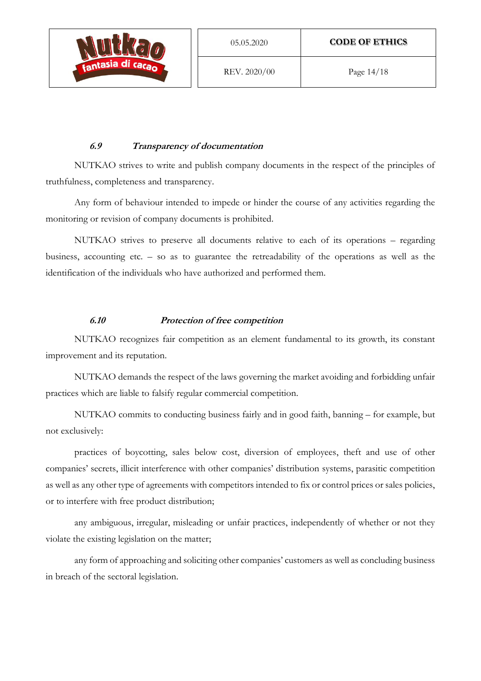

#### <span id="page-13-0"></span>**6.9 Transparency of documentation**

NUTKAO strives to write and publish company documents in the respect of the principles of truthfulness, completeness and transparency.

Any form of behaviour intended to impede or hinder the course of any activities regarding the monitoring or revision of company documents is prohibited.

NUTKAO strives to preserve all documents relative to each of its operations – regarding business, accounting etc. – so as to guarantee the retreadability of the operations as well as the identification of the individuals who have authorized and performed them.

#### <span id="page-13-1"></span>**6.10 Protection of free competition**

NUTKAO recognizes fair competition as an element fundamental to its growth, its constant improvement and its reputation.

NUTKAO demands the respect of the laws governing the market avoiding and forbidding unfair practices which are liable to falsify regular commercial competition.

NUTKAO commits to conducting business fairly and in good faith, banning – for example, but not exclusively:

practices of boycotting, sales below cost, diversion of employees, theft and use of other companies' secrets, illicit interference with other companies' distribution systems, parasitic competition as well as any other type of agreements with competitors intended to fix or control prices or sales policies, or to interfere with free product distribution;

any ambiguous, irregular, misleading or unfair practices, independently of whether or not they violate the existing legislation on the matter;

any form of approaching and soliciting other companies' customers as well as concluding business in breach of the sectoral legislation.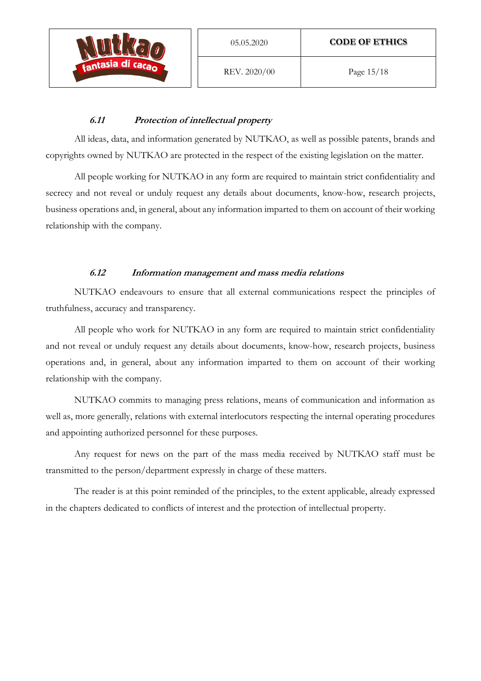

#### <span id="page-14-0"></span>**6.11 Protection of intellectual property**

All ideas, data, and information generated by NUTKAO, as well as possible patents, brands and copyrights owned by NUTKAO are protected in the respect of the existing legislation on the matter.

All people working for NUTKAO in any form are required to maintain strict confidentiality and secrecy and not reveal or unduly request any details about documents, know-how, research projects, business operations and, in general, about any information imparted to them on account of their working relationship with the company.

#### **6.12 Information management and mass media relations**

<span id="page-14-1"></span>NUTKAO endeavours to ensure that all external communications respect the principles of truthfulness, accuracy and transparency.

All people who work for NUTKAO in any form are required to maintain strict confidentiality and not reveal or unduly request any details about documents, know-how, research projects, business operations and, in general, about any information imparted to them on account of their working relationship with the company.

NUTKAO commits to managing press relations, means of communication and information as well as, more generally, relations with external interlocutors respecting the internal operating procedures and appointing authorized personnel for these purposes.

Any request for news on the part of the mass media received by NUTKAO staff must be transmitted to the person/department expressly in charge of these matters.

The reader is at this point reminded of the principles, to the extent applicable, already expressed in the chapters dedicated to conflicts of interest and the protection of intellectual property.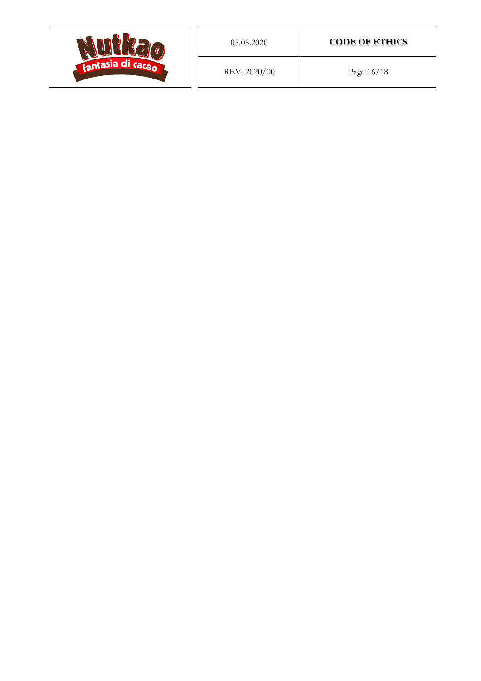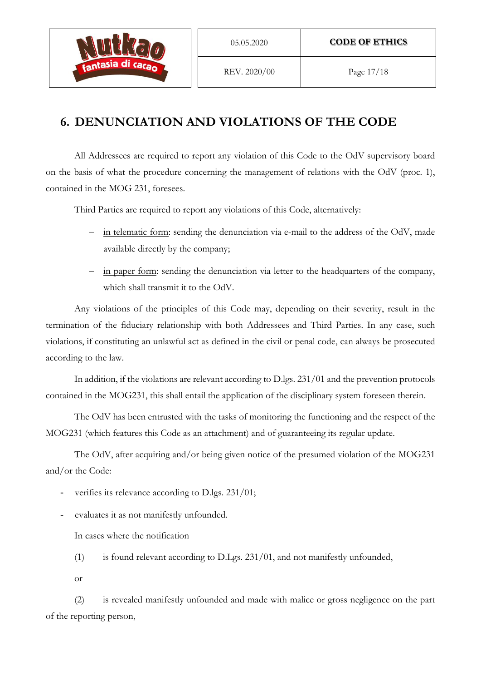## <span id="page-16-0"></span>**6. DENUNCIATION AND VIOLATIONS OF THE CODE**

All Addressees are required to report any violation of this Code to the OdV supervisory board on the basis of what the procedure concerning the management of relations with the OdV (proc. 1), contained in the MOG 231, foresees.

Third Parties are required to report any violations of this Code, alternatively:

- − in telematic form: sending the denunciation via e-mail to the address of the OdV, made available directly by the company;
- − in paper form: sending the denunciation via letter to the headquarters of the company, which shall transmit it to the OdV.

Any violations of the principles of this Code may, depending on their severity, result in the termination of the fiduciary relationship with both Addressees and Third Parties. In any case, such violations, if constituting an unlawful act as defined in the civil or penal code, can always be prosecuted according to the law.

In addition, if the violations are relevant according to D.lgs. 231/01 and the prevention protocols contained in the MOG231, this shall entail the application of the disciplinary system foreseen therein.

The OdV has been entrusted with the tasks of monitoring the functioning and the respect of the MOG231 (which features this Code as an attachment) and of guaranteeing its regular update.

The OdV, after acquiring and/or being given notice of the presumed violation of the MOG231 and/or the Code:

- verifies its relevance according to D.lgs. 231/01;
- evaluates it as not manifestly unfounded.

In cases where the notification

(1) is found relevant according to D.Lgs. 231/01, and not manifestly unfounded,

or

(2) is revealed manifestly unfounded and made with malice or gross negligence on the part of the reporting person,